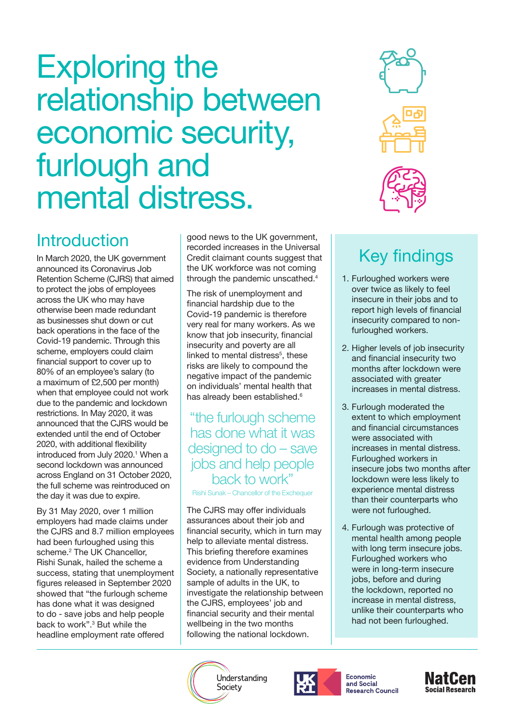# <span id="page-0-0"></span>Exploring the relationship between economic security, furlough and mental distress.



# **Introduction**

In March 2020, the UK government announced its Coronavirus Job Retention Scheme (CJRS) that aimed to protect the jobs of employees across the UK who may have otherwise been made redundant as businesses shut down or cut back operations in the face of the Covid-19 pandemic. Through this scheme, employers could claim financial support to cover up to 80% of an employee's salary (to a maximum of £2,500 per month) when that employee could not work due to the pandemic and lockdown restrictions. In May 2020, it was announced that the CJRS would be extended until the end of October 2020, with additional flexibility introduced from July 2020.<sup>1</sup> When a second lockdown was announced across England on 31 October 2020, the full scheme was reintroduced on the day it was due to expire.

By 31 May 2020, over 1 million employers had made claims under the CJRS and 8.7 million employees had been furloughed using this scheme.<sup>2</sup> The UK Chancellor, Rishi Sunak, hailed the scheme a success, stating that unemployment figures released in September 2020 showed that "the furlough scheme has done what it was designed to do - save jobs and help people back to work".<sup>3</sup> But while the headline employment rate offered

good news to the UK government, recorded increases in the Universal Credit claimant counts suggest that the UK workforce was not coming through the pandemic unscathed.<sup>[4](#page-4-0)</sup>

The risk of unemployment and financial hardship due to the Covid-19 pandemic is therefore very real for many workers. As we know that job insecurity, financial insecurity and poverty are all linked to mental distress<sup>[5](#page-4-0)</sup>, these risks are likely to compound the negative impact of the pandemic on individuals' mental health that has already been established.<sup>[6](#page-4-0)</sup>

### "the furlough scheme has done what it was designed to do – save jobs and help people back to work"

Rishi Sunak – Chancellor of the Exchequer

The CJRS may offer individuals assurances about their job and financial security, which in turn may help to alleviate mental distress. This briefing therefore examines evidence from Understanding Society, a nationally representative sample of adults in the UK, to investigate the relationship between the CJRS, employees' job and financial security and their mental wellbeing in the two months following the national lockdown.

# Key findings

- 1. Furloughed workers were over twice as likely to feel insecure in their jobs and to report high levels of financial insecurity compared to nonfurloughed workers.
- 2. Higher levels of job insecurity and financial insecurity two months after lockdown were associated with greater increases in mental distress.
- 3. Furlough moderated the extent to which employment and financial circumstances were associated with increases in mental distress. Furloughed workers in insecure jobs two months after lockdown were less likely to experience mental distress than their counterparts who were not furloughed.
- 4. Furlough was protective of mental health among people with long term insecure jobs. Furloughed workers who were in long-term insecure jobs, before and during the lockdown, reported no increase in mental distress, unlike their counterparts who had not been furloughed.





**Economic** and Social **Research Council** 

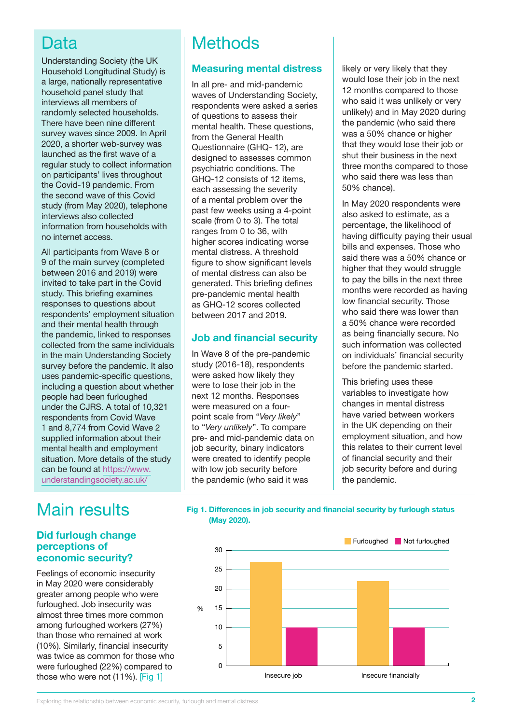### Data

Understanding Society (the UK Household Longitudinal Study) is a large, nationally representative household panel study that interviews all members of randomly selected households. There have been nine different survey waves since 2009. In April 2020, a shorter web-survey was launched as the first wave of a regular study to collect information on participants' lives throughout the Covid-19 pandemic. From the second wave of this Covid study (from May 2020), telephone interviews also collected information from households with no internet access.

All participants from Wave 8 or 9 of the main survey (completed between 2016 and 2019) were invited to take part in the Covid study. This briefing examines responses to questions about respondents' employment situation and their mental health through the pandemic, linked to responses collected from the same individuals in the main Understanding Society survey before the pandemic. It also uses pandemic-specific questions, including a question about whether people had been furloughed under the CJRS. A total of 10,321 respondents from Covid Wave 1 and 8,774 from Covid Wave 2 supplied information about their mental health and employment situation. More details of the study can be found at [https://www.](https://www.understandingsociety.ac.uk/) [understandingsociety.ac.uk/](https://www.understandingsociety.ac.uk/)

# **Methods**

#### **Measuring mental distress**

In all pre- and mid-pandemic waves of Understanding Society, respondents were asked a series of questions to assess their mental health. These questions, from the General Health Questionnaire (GHQ- 12), are designed to assesses common psychiatric conditions. The GHQ-12 consists of 12 items, each assessing the severity of a mental problem over the past few weeks using a 4-point scale (from 0 to 3). The total ranges from 0 to 36, with higher scores indicating worse mental distress. A threshold figure to show significant levels of mental distress can also be generated. This briefing defines pre-pandemic mental health as GHQ-12 scores collected between 2017 and 2019.

#### **Job and financial security**

In Wave 8 of the pre-pandemic study (2016-18), respondents were asked how likely they were to lose their job in the next 12 months. Responses were measured on a fourpoint scale from "*Very likely*" to "*Very unlikely*". To compare pre- and mid-pandemic data on job security, binary indicators were created to identify people with low job security before the pandemic (who said it was

likely or very likely that they would lose their job in the next 12 months compared to those who said it was unlikely or very unlikely) and in May 2020 during the pandemic (who said there was a 50% chance or higher that they would lose their job or shut their business in the next three months compared to those who said there was less than 50% chance).

In May 2020 respondents were also asked to estimate, as a percentage, the likelihood of having difficulty paying their usual bills and expenses. Those who said there was a 50% chance or higher that they would struggle to pay the bills in the next three months were recorded as having low financial security. Those who said there was lower than a 50% chance were recorded as being financially secure. No such information was collected on individuals' financial security before the pandemic started.

This briefing uses these variables to investigate how changes in mental distress have varied between workers in the UK depending on their employment situation, and how this relates to their current level of financial security and their job security before and during the pandemic.

## Main results

#### **Did furlough change perceptions of economic security?**

Feelings of economic insecurity in May 2020 were considerably greater among people who were furloughed. Job insecurity was almost three times more common among furloughed workers (27%) than those who remained at work (10%). Similarly, financial insecurity was twice as common for those who were furloughed (22%) compared to those who were not (11%). [Fig 1]

#### **Fig 1. Differences in job security and financial security by furlough status (May 2020).**



Exploring the relationship between economic security, furlough and mental distress **2**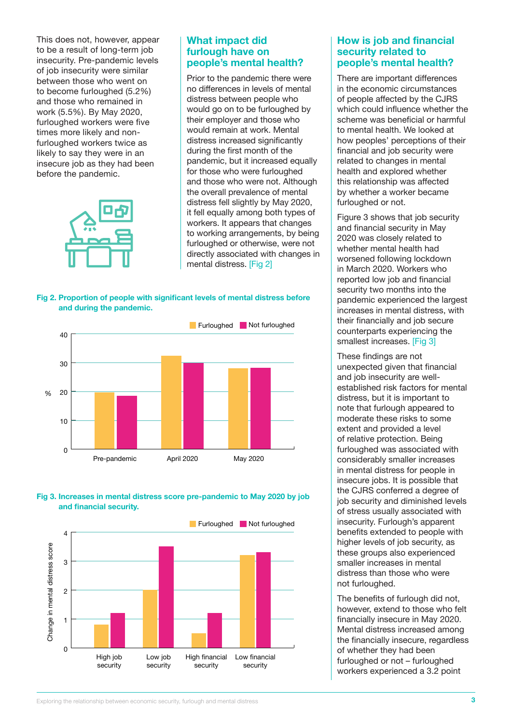This does not, however, appear to be a result of long-term job insecurity. Pre-pandemic levels of job insecurity were similar between those who went on to become furloughed (5.2%) and those who remained in work (5.5%). By May 2020, furloughed workers were five times more likely and nonfurloughed workers twice as likely to say they were in an insecure job as they had been before the pandemic.



#### **What impact did furlough have on people's mental health?**

Prior to the pandemic there were no differences in levels of mental distress between people who would go on to be furloughed by their employer and those who would remain at work. Mental distress increased significantly during the first month of the pandemic, but it increased equally for those who were furloughed and those who were not. Although the overall prevalence of mental distress fell slightly by May 2020, it fell equally among both types of workers. It appears that changes to working arrangements, by being furloughed or otherwise, were not directly associated with changes in mental distress. [Fig 2]

**Fig 2. Proportion of people with significant levels of mental distress before and during the pandemic.**







#### **How is job and financial security related to people's mental health?**

There are important differences in the economic circumstances of people affected by the CJRS which could influence whether the scheme was beneficial or harmful to mental health. We looked at how peoples' perceptions of their financial and job security were related to changes in mental health and explored whether this relationship was affected by whether a worker became furloughed or not.

Figure 3 shows that job security and financial security in May 2020 was closely related to whether mental health had worsened following lockdown in March 2020. Workers who reported low job and financial security two months into the pandemic experienced the largest increases in mental distress, with their financially and job secure counterparts experiencing the smallest increases. [Fig 3]

These findings are not unexpected given that financial and job insecurity are wellestablished risk factors for mental distress, but it is important to note that furlough appeared to moderate these risks to some extent and provided a level of relative protection. Being furloughed was associated with considerably smaller increases in mental distress for people in insecure jobs. It is possible that the CJRS conferred a degree of job security and diminished levels of stress usually associated with insecurity. Furlough's apparent benefits extended to people with higher levels of job security, as these groups also experienced smaller increases in mental distress than those who were not furloughed.

The benefits of furlough did not, however, extend to those who felt financially insecure in May 2020. Mental distress increased among the financially insecure, regardless of whether they had been furloughed or not – furloughed workers experienced a 3.2 point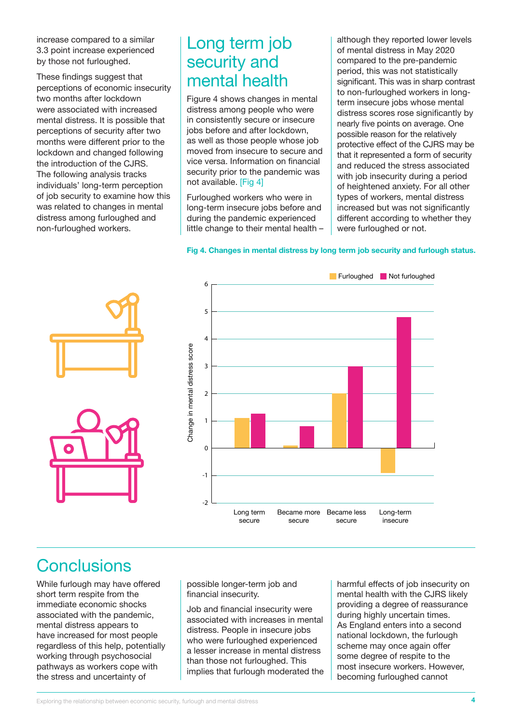increase compared to a similar 3.3 point increase experienced by those not furloughed.

These findings suggest that perceptions of economic insecurity two months after lockdown were associated with increased mental distress. It is possible that perceptions of security after two months were different prior to the lockdown and changed following the introduction of the CJRS. The following analysis tracks individuals' long-term perception of job security to examine how this was related to changes in mental distress among furloughed and non-furloughed workers.

### Long term job security and mental health

Figure 4 shows changes in mental distress among people who were in consistently secure or insecure jobs before and after lockdown, as well as those people whose job moved from insecure to secure and vice versa. Information on financial security prior to the pandemic was not available. [Fig 4]

Furloughed workers who were in long-term insecure jobs before and during the pandemic experienced little change to their mental health –

although they reported lower levels of mental distress in May 2020 compared to the pre-pandemic period, this was not statistically significant. This was in sharp contrast to non-furloughed workers in longterm insecure jobs whose mental distress scores rose significantly by nearly five points on average. One possible reason for the relatively protective effect of the CJRS may be that it represented a form of security and reduced the stress associated with job insecurity during a period of heightened anxiety. For all other types of workers, mental distress increased but was not significantly different according to whether they were furloughed or not.





# **Conclusions**

While furlough may have offered short term respite from the immediate economic shocks associated with the pandemic, mental distress appears to have increased for most people regardless of this help, potentially working through psychosocial pathways as workers cope with the stress and uncertainty of

possible longer-term job and financial insecurity.

Job and financial insecurity were associated with increases in mental distress. People in insecure jobs who were furloughed experienced a lesser increase in mental distress than those not furloughed. This implies that furlough moderated the

harmful effects of job insecurity on mental health with the CJRS likely providing a degree of reassurance during highly uncertain times. As England enters into a second national lockdown, the furlough scheme may once again offer some degree of respite to the most insecure workers. However, becoming furloughed cannot